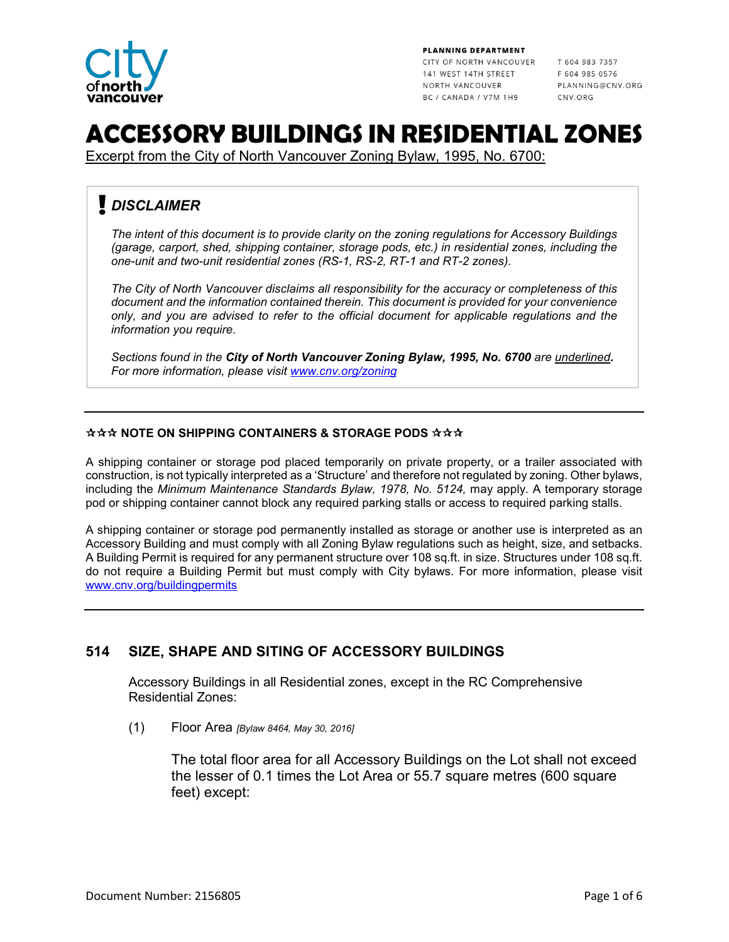

PLANNING DEPARTMENT

CITY OF NORTH VANCOUVER T 604 983 7357 141 WEST 14TH STREET NORTH VANCOUVER BC / CANADA / V7M 1H9

F 604 985 0576 PLANNING@CNV.ORG CNV.ORG

# **ACCESSORY BUILDINGS IN RESIDENTIAL ZONES**

Excerpt from the City of North Vancouver Zoning Bylaw, 1995, No. 6700:

# *DISCLAIMER*

*The intent of this document is to provide clarity on the zoning regulations for Accessory Buildings (garage, carport, shed, shipping container, storage pods, etc.) in residential zones, including the one-unit and two-unit residential zones (RS-1, RS-2, RT-1 and RT-2 zones).* 

*The City of North Vancouver disclaims all responsibility for the accuracy or completeness of this document and the information contained therein. This document is provided for your convenience only, and you are advised to refer to the official document for applicable regulations and the information you require.*

*Sections found in the City of North Vancouver Zoning Bylaw, 1995, No. 6700 are underlined. For more information, please visit [www.cnv.org/zoning](http://www.cnv.org/zoning)* 

#### **NOTE ON SHIPPING CONTAINERS & STORAGE PODS NNN**

A shipping container or storage pod placed temporarily on private property, or a trailer associated with construction, is not typically interpreted as a 'Structure' and therefore not regulated by zoning. Other bylaws, including the *Minimum Maintenance Standards Bylaw, 1978, No. 5124,* may apply. A temporary storage pod or shipping container cannot block any required parking stalls or access to required parking stalls.

A shipping container or storage pod permanently installed as storage or another use is interpreted as an Accessory Building and must comply with all Zoning Bylaw regulations such as height, size, and setbacks. A Building Permit is required for any permanent structure over 108 sq.ft. in size. Structures under 108 sq.ft. do not require a Building Permit but must comply with City bylaws. For more information, please visit [www.cnv.org/buildingpermits](http://www.cnv.org/buildingpermits) 

# **514 SIZE, SHAPE AND SITING OF ACCESSORY BUILDINGS**

Accessory Buildings in all Residential zones, except in the RC Comprehensive Residential Zones:

(1) Floor Area *[Bylaw 8464, May 30, 2016]*

The total floor area for all Accessory Buildings on the Lot shall not exceed the lesser of 0.1 times the Lot Area or 55.7 square metres (600 square feet) except: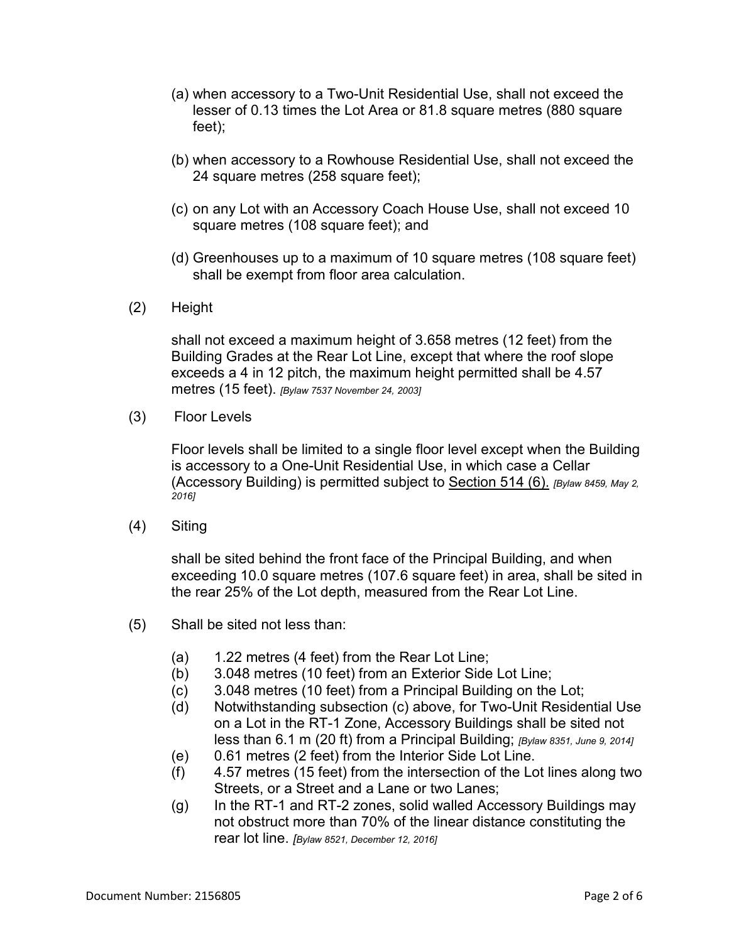- (a) when accessory to a Two-Unit Residential Use, shall not exceed the lesser of 0.13 times the Lot Area or 81.8 square metres (880 square feet);
- (b) when accessory to a Rowhouse Residential Use, shall not exceed the 24 square metres (258 square feet);
- (c) on any Lot with an Accessory Coach House Use, shall not exceed 10 square metres (108 square feet); and
- (d) Greenhouses up to a maximum of 10 square metres (108 square feet) shall be exempt from floor area calculation.
- (2) Height

shall not exceed a maximum height of 3.658 metres (12 feet) from the Building Grades at the Rear Lot Line, except that where the roof slope exceeds a 4 in 12 pitch, the maximum height permitted shall be 4.57 metres (15 feet). *[Bylaw 7537 November 24, 2003]*

(3)Floor Levels

Floor levels shall be limited to a single floor level except when the Building is accessory to a One-Unit Residential Use, in which case a Cellar (Accessory Building) is permitted subject to Section 514 (6). *[Bylaw 8459, May 2, 2016]*

(4) Siting

shall be sited behind the front face of the Principal Building, and when exceeding 10.0 square metres (107.6 square feet) in area, shall be sited in the rear 25% of the Lot depth, measured from the Rear Lot Line.

- (5) Shall be sited not less than:
	- $(a)$  1.22 metres (4 feet) from the Rear Lot Line;
	- (b) 3.048 metres (10 feet) from an Exterior Side Lot Line;
	- (c) 3.048 metres (10 feet) from a Principal Building on the Lot;
	- (d) Notwithstanding subsection (c) above, for Two-Unit Residential Use on a Lot in the RT-1 Zone, Accessory Buildings shall be sited not less than 6.1 m (20 ft) from a Principal Building; *[Bylaw 8351, June 9, 2014]*
	- (e) 0.61 metres (2 feet) from the Interior Side Lot Line.
	- (f) 4.57 metres (15 feet) from the intersection of the Lot lines along two Streets, or a Street and a Lane or two Lanes;
	- (g) In the RT-1 and RT-2 zones, solid walled Accessory Buildings may not obstruct more than 70% of the linear distance constituting the rear lot line. *[Bylaw 8521, December 12, 2016]*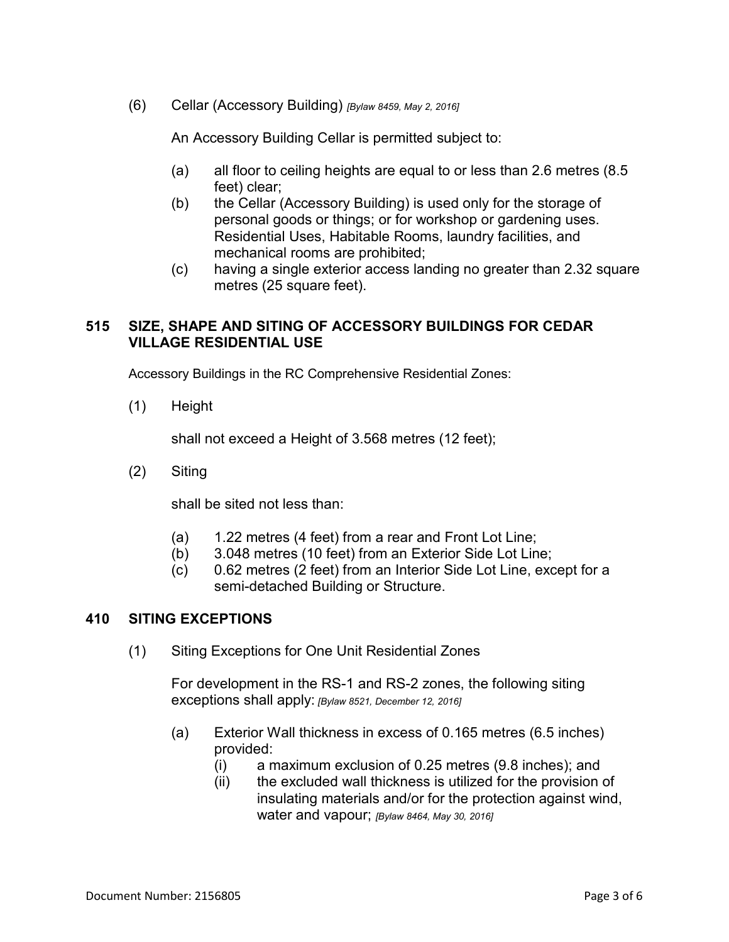(6) Cellar (Accessory Building) *[Bylaw 8459, May 2, 2016]*

An Accessory Building Cellar is permitted subject to:

- (a) all floor to ceiling heights are equal to or less than 2.6 metres (8.5 feet) clear;
- (b) the Cellar (Accessory Building) is used only for the storage of personal goods or things; or for workshop or gardening uses. Residential Uses, Habitable Rooms, laundry facilities, and mechanical rooms are prohibited;
- (c) having a single exterior access landing no greater than 2.32 square metres (25 square feet).

### **515 SIZE, SHAPE AND SITING OF ACCESSORY BUILDINGS FOR CEDAR VILLAGE RESIDENTIAL USE**

Accessory Buildings in the RC Comprehensive Residential Zones:

(1) Height

shall not exceed a Height of 3.568 metres (12 feet);

(2) Siting

shall be sited not less than:

- (a) 1.22 metres (4 feet) from a rear and Front Lot Line;
- (b) 3.048 metres (10 feet) from an Exterior Side Lot Line;
- (c) 0.62 metres (2 feet) from an Interior Side Lot Line, except for a semi-detached Building or Structure.

#### **410 SITING EXCEPTIONS**

(1) Siting Exceptions for One Unit Residential Zones

For development in the RS-1 and RS-2 zones, the following siting exceptions shall apply: *[Bylaw 8521, December 12, 2016]*

- (a) Exterior Wall thickness in excess of 0.165 metres (6.5 inches) provided:
	- (i) a maximum exclusion of 0.25 metres (9.8 inches); and
	- (ii) the excluded wall thickness is utilized for the provision of insulating materials and/or for the protection against wind, water and vapour; *[Bylaw 8464, May 30, 2016]*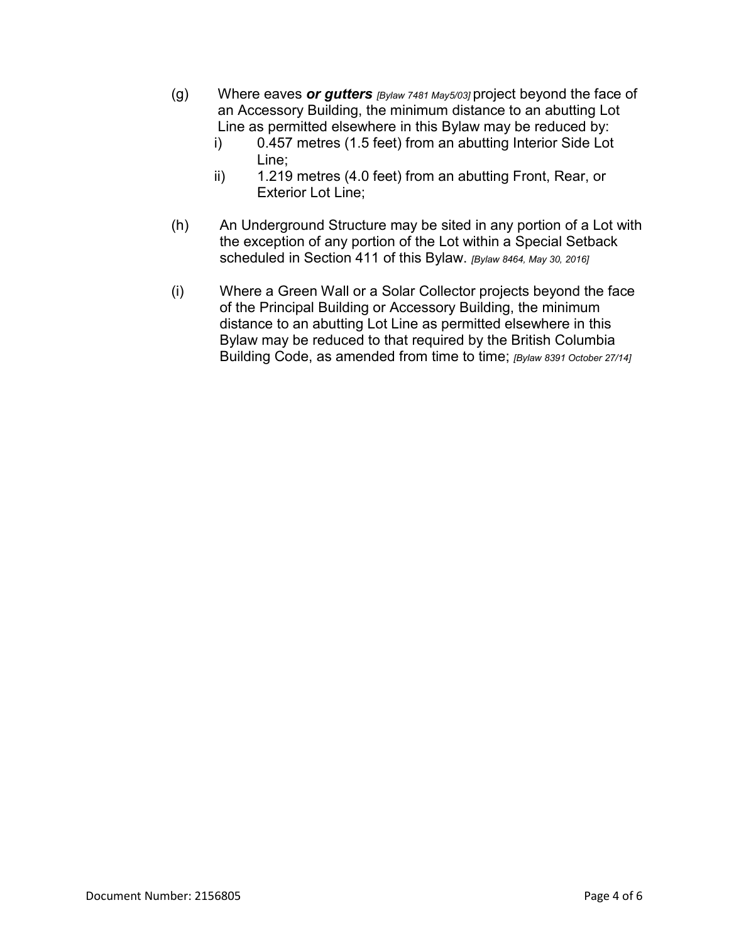- (g) Where eaves *or gutters [Bylaw 7481 May5/03]* project beyond the face of an Accessory Building, the minimum distance to an abutting Lot Line as permitted elsewhere in this Bylaw may be reduced by:
	- i) 0.457 metres (1.5 feet) from an abutting Interior Side Lot Line;
	- ii) 1.219 metres (4.0 feet) from an abutting Front, Rear, or Exterior Lot Line;
- (h) An Underground Structure may be sited in any portion of a Lot with the exception of any portion of the Lot within a Special Setback scheduled in Section 411 of this Bylaw. *[Bylaw 8464, May 30, 2016]*
- (i) Where a Green Wall or a Solar Collector projects beyond the face of the Principal Building or Accessory Building, the minimum distance to an abutting Lot Line as permitted elsewhere in this Bylaw may be reduced to that required by the British Columbia Building Code, as amended from time to time; *[Bylaw 8391 October 27/14]*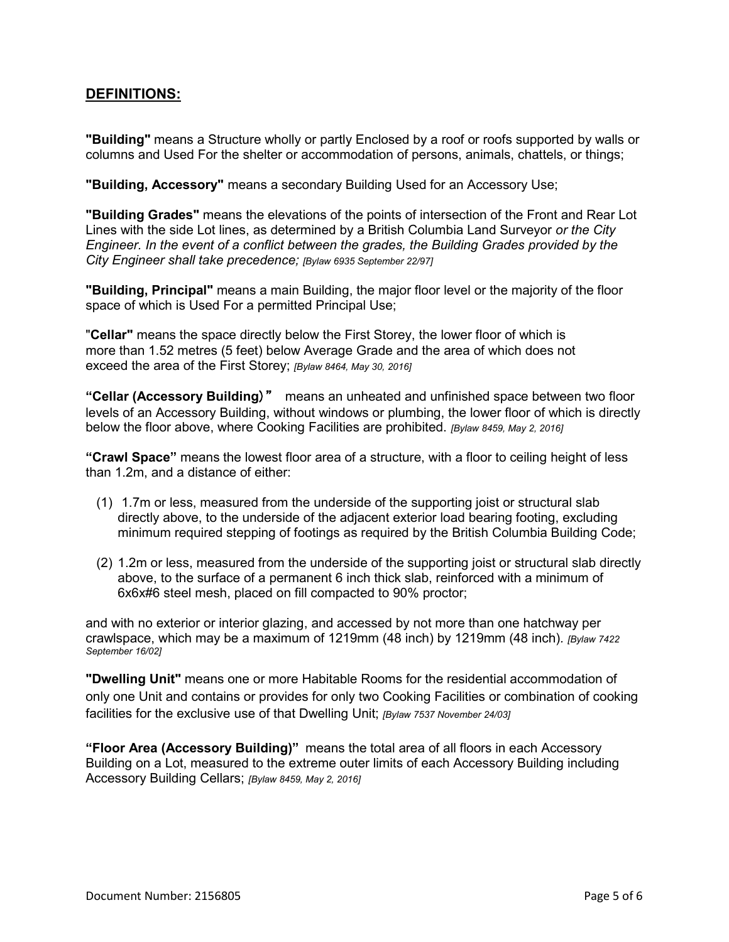# **DEFINITIONS:**

**"Building"** means a Structure wholly or partly Enclosed by a roof or roofs supported by walls or columns and Used For the shelter or accommodation of persons, animals, chattels, or things;

**"Building, Accessory"** means a secondary Building Used for an Accessory Use;

**"Building Grades"** means the elevations of the points of intersection of the Front and Rear Lot Lines with the side Lot lines, as determined by a British Columbia Land Surveyor *or the City Engineer. In the event of a conflict between the grades, the Building Grades provided by the City Engineer shall take precedence; [Bylaw 6935 September 22/97]*

**"Building, Principal"** means a main Building, the major floor level or the majority of the floor space of which is Used For a permitted Principal Use;

"**Cellar"** means the space directly below the First Storey, the lower floor of which is more than 1.52 metres (5 feet) below Average Grade and the area of which does not exceed the area of the First Storey; *[Bylaw 8464, May 30, 2016]*

**"Cellar (Accessory Building**)" means an unheated and unfinished space between two floor levels of an Accessory Building, without windows or plumbing, the lower floor of which is directly below the floor above, where Cooking Facilities are prohibited. *[Bylaw 8459, May 2, 2016]*

**"Crawl Space"** means the lowest floor area of a structure, with a floor to ceiling height of less than 1.2m, and a distance of either:

- (1) 1.7m or less, measured from the underside of the supporting joist or structural slab directly above, to the underside of the adjacent exterior load bearing footing, excluding minimum required stepping of footings as required by the British Columbia Building Code;
- (2) 1.2m or less, measured from the underside of the supporting joist or structural slab directly above, to the surface of a permanent 6 inch thick slab, reinforced with a minimum of 6x6x#6 steel mesh, placed on fill compacted to 90% proctor;

and with no exterior or interior glazing, and accessed by not more than one hatchway per crawlspace, which may be a maximum of 1219mm (48 inch) by 1219mm (48 inch)*. [Bylaw 7422 September 16/02]*

**"Dwelling Unit"** means one or more Habitable Rooms for the residential accommodation of only one Unit and contains or provides for only two Cooking Facilities or combination of cooking facilities for the exclusive use of that Dwelling Unit; *[Bylaw 7537 November 24/03]*

**"Floor Area (Accessory Building)"** means the total area of all floors in each Accessory Building on a Lot, measured to the extreme outer limits of each Accessory Building including Accessory Building Cellars; *[Bylaw 8459, May 2, 2016]*